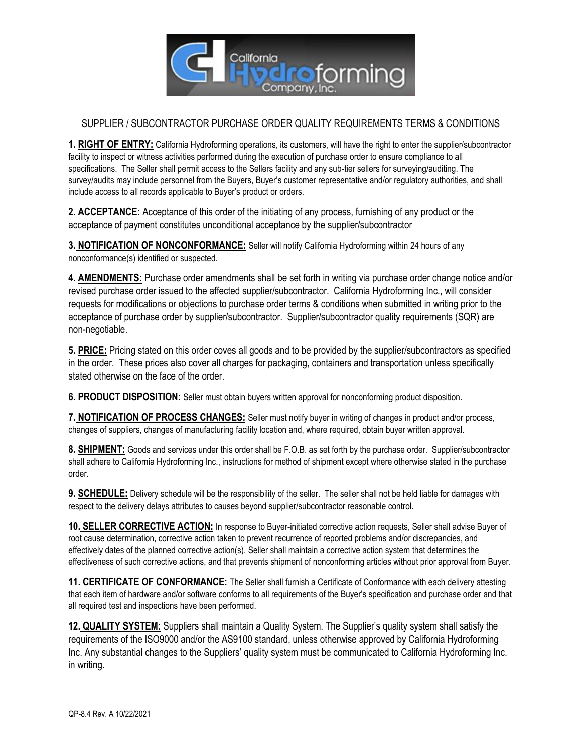

## SUPPLIER / SUBCONTRACTOR PURCHASE ORDER QUALITY REQUIREMENTS TERMS & CONDITIONS

**1. RIGHT OF ENTRY:** California Hydroforming operations, its customers, will have the right to enter the supplier/subcontractor facility to inspect or witness activities performed during the execution of purchase order to ensure compliance to all specifications. The Seller shall permit access to the Sellers facility and any sub-tier sellers for surveying/auditing. The survey/audits may include personnel from the Buyers, Buyer's customer representative and/or regulatory authorities, and shall include access to all records applicable to Buyer's product or orders.

**2. ACCEPTANCE:** Acceptance of this order of the initiating of any process, furnishing of any product or the acceptance of payment constitutes unconditional acceptance by the supplier/subcontractor

**3. NOTIFICATION OF NONCONFORMANCE:** Seller will notify California Hydroforming within 24 hours of any nonconformance(s) identified or suspected.

**4. AMENDMENTS:** Purchase order amendments shall be set forth in writing via purchase order change notice and/or revised purchase order issued to the affected supplier/subcontractor. California Hydroforming Inc., will consider requests for modifications or objections to purchase order terms & conditions when submitted in writing prior to the acceptance of purchase order by supplier/subcontractor. Supplier/subcontractor quality requirements (SQR) are non-negotiable.

**5. PRICE:** Pricing stated on this order coves all goods and to be provided by the supplier/subcontractors as specified in the order. These prices also cover all charges for packaging, containers and transportation unless specifically stated otherwise on the face of the order.

**6. PRODUCT DISPOSITION:** Seller must obtain buyers written approval for nonconforming product disposition.

**7. NOTIFICATION OF PROCESS CHANGES:** Seller must notify buyer in writing of changes in product and/or process, changes of suppliers, changes of manufacturing facility location and, where required, obtain buyer written approval.

**8. SHIPMENT:** Goods and services under this order shall be F.O.B. as set forth by the purchase order. Supplier/subcontractor shall adhere to California Hydroforming Inc., instructions for method of shipment except where otherwise stated in the purchase order.

**9. SCHEDULE:** Delivery schedule will be the responsibility of the seller. The seller shall not be held liable for damages with respect to the delivery delays attributes to causes beyond supplier/subcontractor reasonable control.

**10. SELLER CORRECTIVE ACTION:** In response to Buyer-initiated corrective action requests, Seller shall advise Buyer of root cause determination, corrective action taken to prevent recurrence of reported problems and/or discrepancies, and effectively dates of the planned corrective action(s). Seller shall maintain a corrective action system that determines the effectiveness of such corrective actions, and that prevents shipment of nonconforming articles without prior approval from Buyer.

**11. CERTIFICATE OF CONFORMANCE:** The Seller shall furnish a Certificate of Conformance with each delivery attesting that each item of hardware and/or software conforms to all requirements of the Buyer's specification and purchase order and that all required test and inspections have been performed.

**12. QUALITY SYSTEM:** Suppliers shall maintain a Quality System. The Supplier's quality system shall satisfy the requirements of the ISO9000 and/or the AS9100 standard, unless otherwise approved by California Hydroforming Inc. Any substantial changes to the Suppliers' quality system must be communicated to California Hydroforming Inc. in writing.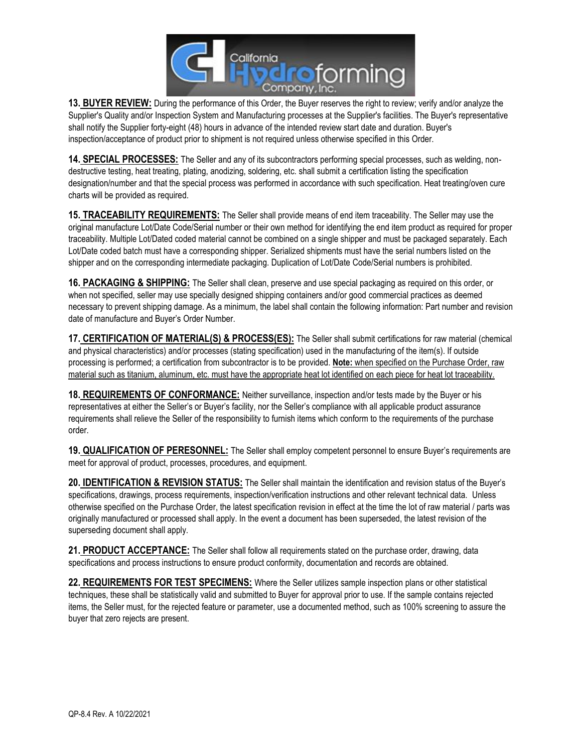

**13. BUYER REVIEW:** During the performance of this Order, the Buyer reserves the right to review; verify and/or analyze the Supplier's Quality and/or Inspection System and Manufacturing processes at the Supplier's facilities. The Buyer's representative shall notify the Supplier forty-eight (48) hours in advance of the intended review start date and duration. Buyer's inspection/acceptance of product prior to shipment is not required unless otherwise specified in this Order.

**14. SPECIAL PROCESSES:** The Seller and any of its subcontractors performing special processes, such as welding, nondestructive testing, heat treating, plating, anodizing, soldering, etc. shall submit a certification listing the specification designation/number and that the special process was performed in accordance with such specification. Heat treating/oven cure charts will be provided as required.

**15. TRACEABILITY REQUIREMENTS:** The Seller shall provide means of end item traceability. The Seller may use the original manufacture Lot/Date Code/Serial number or their own method for identifying the end item product as required for proper traceability. Multiple Lot/Dated coded material cannot be combined on a single shipper and must be packaged separately. Each Lot/Date coded batch must have a corresponding shipper. Serialized shipments must have the serial numbers listed on the shipper and on the corresponding intermediate packaging. Duplication of Lot/Date Code/Serial numbers is prohibited.

**16. PACKAGING & SHIPPING:** The Seller shall clean, preserve and use special packaging as required on this order, or when not specified, seller may use specially designed shipping containers and/or good commercial practices as deemed necessary to prevent shipping damage. As a minimum, the label shall contain the following information: Part number and revision date of manufacture and Buyer's Order Number.

**17. CERTIFICATION OF MATERIAL(S) & PROCESS(ES):** The Seller shall submit certifications for raw material (chemical and physical characteristics) and/or processes (stating specification) used in the manufacturing of the item(s). If outside processing is performed; a certification from subcontractor is to be provided. **Note:** when specified on the Purchase Order, raw material such as titanium, aluminum, etc. must have the appropriate heat lot identified on each piece for heat lot traceability.

**18. REQUIREMENTS OF CONFORMANCE:** Neither surveillance, inspection and/or tests made by the Buyer or his representatives at either the Seller's or Buyer's facility, nor the Seller's compliance with all applicable product assurance requirements shall relieve the Seller of the responsibility to furnish items which conform to the requirements of the purchase order.

**19. QUALIFICATION OF PERESONNEL:** The Seller shall employ competent personnel to ensure Buyer's requirements are meet for approval of product, processes, procedures, and equipment.

**20. IDENTIFICATION & REVISION STATUS:** The Seller shall maintain the identification and revision status of the Buyer's specifications, drawings, process requirements, inspection/verification instructions and other relevant technical data. Unless otherwise specified on the Purchase Order, the latest specification revision in effect at the time the lot of raw material / parts was originally manufactured or processed shall apply. In the event a document has been superseded, the latest revision of the superseding document shall apply.

**21. PRODUCT ACCEPTANCE:** The Seller shall follow all requirements stated on the purchase order, drawing, data specifications and process instructions to ensure product conformity, documentation and records are obtained.

**22. REQUIREMENTS FOR TEST SPECIMENS:** Where the Seller utilizes sample inspection plans or other statistical techniques, these shall be statistically valid and submitted to Buyer for approval prior to use. If the sample contains rejected items, the Seller must, for the rejected feature or parameter, use a documented method, such as 100% screening to assure the buyer that zero rejects are present.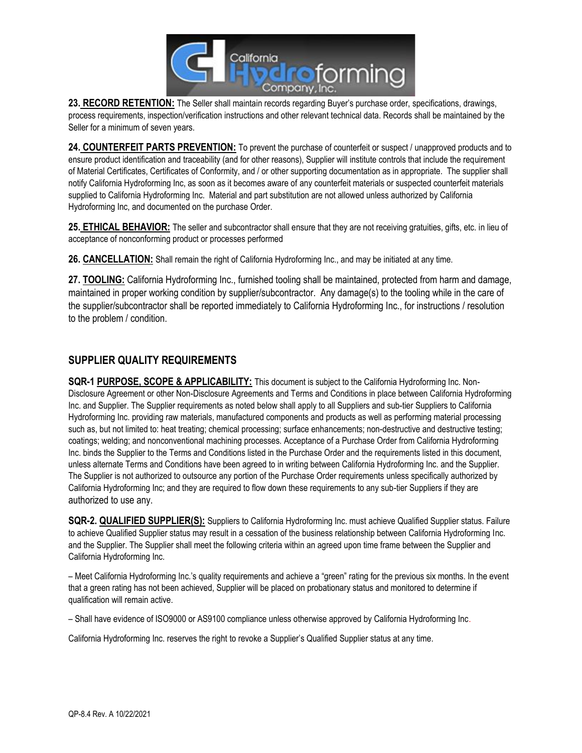

**23. RECORD RETENTION:** The Seller shall maintain records regarding Buyer's purchase order, specifications, drawings, process requirements, inspection/verification instructions and other relevant technical data. Records shall be maintained by the Seller for a minimum of seven years.

**24. COUNTERFEIT PARTS PREVENTION:** To prevent the purchase of counterfeit or suspect / unapproved products and to ensure product identification and traceability (and for other reasons), Supplier will institute controls that include the requirement of Material Certificates, Certificates of Conformity, and / or other supporting documentation as in appropriate. The supplier shall notify California Hydroforming Inc, as soon as it becomes aware of any counterfeit materials or suspected counterfeit materials supplied to California Hydroforming Inc. Material and part substitution are not allowed unless authorized by California Hydroforming Inc, and documented on the purchase Order.

**25. ETHICAL BEHAVIOR:** The seller and subcontractor shall ensure that they are not receiving gratuities, gifts, etc. in lieu of acceptance of nonconforming product or processes performed

**26. CANCELLATION:** Shall remain the right of California Hydroforming Inc., and may be initiated at any time.

**27. TOOLING:** California Hydroforming Inc., furnished tooling shall be maintained, protected from harm and damage, maintained in proper working condition by supplier/subcontractor. Any damage(s) to the tooling while in the care of the supplier/subcontractor shall be reported immediately to California Hydroforming Inc., for instructions / resolution to the problem / condition.

## **SUPPLIER QUALITY REQUIREMENTS**

**SQR-1 PURPOSE, SCOPE & APPLICABILITY:** This document is subject to the California Hydroforming Inc. Non-Disclosure Agreement or other Non-Disclosure Agreements and Terms and Conditions in place between California Hydroforming Inc. and Supplier. The Supplier requirements as noted below shall apply to all Suppliers and sub-tier Suppliers to California Hydroforming Inc. providing raw materials, manufactured components and products as well as performing material processing such as, but not limited to: heat treating; chemical processing; surface enhancements; non-destructive and destructive testing; coatings; welding; and nonconventional machining processes. Acceptance of a Purchase Order from California Hydroforming Inc. binds the Supplier to the Terms and Conditions listed in the Purchase Order and the requirements listed in this document, unless alternate Terms and Conditions have been agreed to in writing between California Hydroforming Inc. and the Supplier. The Supplier is not authorized to outsource any portion of the Purchase Order requirements unless specifically authorized by California Hydroforming Inc; and they are required to flow down these requirements to any sub-tier Suppliers if they are authorized to use any.

**SQR-2. QUALIFIED SUPPLIER(S):** Suppliers to California Hydroforming Inc. must achieve Qualified Supplier status. Failure to achieve Qualified Supplier status may result in a cessation of the business relationship between California Hydroforming Inc. and the Supplier. The Supplier shall meet the following criteria within an agreed upon time frame between the Supplier and California Hydroforming Inc.

– Meet California Hydroforming Inc.'s quality requirements and achieve a "green" rating for the previous six months. In the event that a green rating has not been achieved, Supplier will be placed on probationary status and monitored to determine if qualification will remain active.

– Shall have evidence of ISO9000 or AS9100 compliance unless otherwise approved by California Hydroforming Inc.

California Hydroforming Inc. reserves the right to revoke a Supplier's Qualified Supplier status at any time.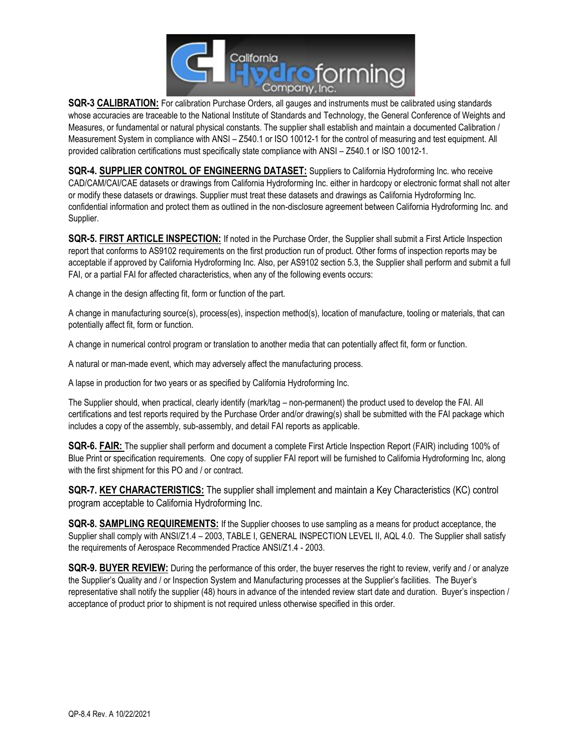

**SQR-3 CALIBRATION:** For calibration Purchase Orders, all gauges and instruments must be calibrated using standards whose accuracies are traceable to the National Institute of Standards and Technology, the General Conference of Weights and Measures, or fundamental or natural physical constants. The supplier shall establish and maintain a documented Calibration / Measurement System in compliance with ANSI – Z540.1 or ISO 10012-1 for the control of measuring and test equipment. All provided calibration certifications must specifically state compliance with ANSI – Z540.1 or ISO 10012-1.

**SQR-4. SUPPLIER CONTROL OF ENGINEERNG DATASET:** Suppliers to California Hydroforming Inc. who receive CAD/CAM/CAI/CAE datasets or drawings from California Hydroforming Inc. either in hardcopy or electronic format shall not alter or modify these datasets or drawings. Supplier must treat these datasets and drawings as California Hydroforming Inc. confidential information and protect them as outlined in the non-disclosure agreement between California Hydroforming Inc. and Supplier.

**SQR-5. FIRST ARTICLE INSPECTION:** If noted in the Purchase Order, the Supplier shall submit a First Article Inspection report that conforms to AS9102 requirements on the first production run of product. Other forms of inspection reports may be acceptable if approved by California Hydroforming Inc. Also, per AS9102 section 5.3, the Supplier shall perform and submit a full FAI, or a partial FAI for affected characteristics, when any of the following events occurs:

A change in the design affecting fit, form or function of the part.

A change in manufacturing source(s), process(es), inspection method(s), location of manufacture, tooling or materials, that can potentially affect fit, form or function.

A change in numerical control program or translation to another media that can potentially affect fit, form or function.

A natural or man-made event, which may adversely affect the manufacturing process.

A lapse in production for two years or as specified by California Hydroforming Inc.

The Supplier should, when practical, clearly identify (mark/tag – non-permanent) the product used to develop the FAI. All certifications and test reports required by the Purchase Order and/or drawing(s) shall be submitted with the FAI package which includes a copy of the assembly, sub-assembly, and detail FAI reports as applicable.

**SQR-6. FAIR:** The supplier shall perform and document a complete First Article Inspection Report (FAIR) including 100% of Blue Print or specification requirements. One copy of supplier FAI report will be furnished to California Hydroforming Inc, along with the first shipment for this PO and / or contract.

**SQR-7. KEY CHARACTERISTICS:** The supplier shall implement and maintain a Key Characteristics (KC) control program acceptable to California Hydroforming Inc.

**SQR-8. SAMPLING REQUIREMENTS:** If the Supplier chooses to use sampling as a means for product acceptance, the Supplier shall comply with ANSI/Z1.4 – 2003, TABLE I, GENERAL INSPECTION LEVEL II, AQL 4.0. The Supplier shall satisfy the requirements of Aerospace Recommended Practice ANSI/Z1.4 - 2003.

**SQR-9. BUYER REVIEW:** During the performance of this order, the buyer reserves the right to review, verify and / or analyze the Supplier's Quality and / or Inspection System and Manufacturing processes at the Supplier's facilities. The Buyer's representative shall notify the supplier (48) hours in advance of the intended review start date and duration. Buyer's inspection / acceptance of product prior to shipment is not required unless otherwise specified in this order.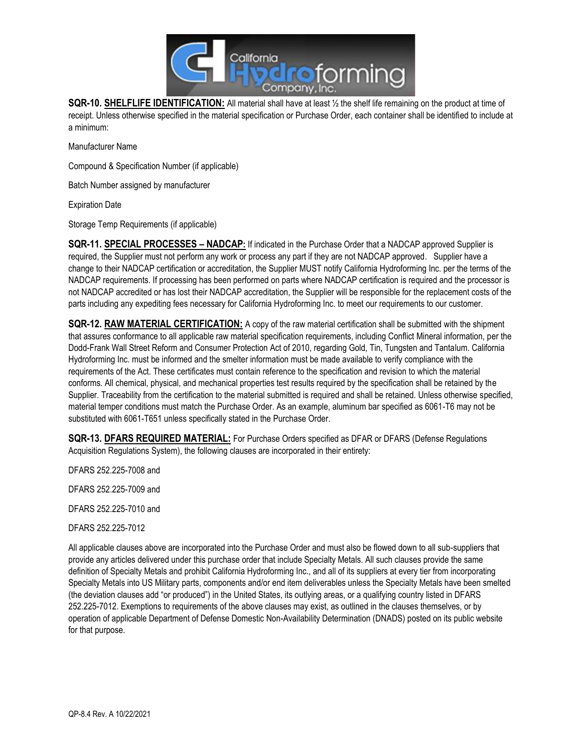

**SQR-10. SHELFLIFE IDENTIFICATION:** All material shall have at least ½ the shelf life remaining on the product at time of receipt. Unless otherwise specified in the material specification or Purchase Order, each container shall be identified to include at a minimum:

Manufacturer Name

Compound & Specification Number (if applicable)

Batch Number assigned by manufacturer

Expiration Date

Storage Temp Requirements (if applicable)

**SQR-11. SPECIAL PROCESSES – NADCAP:** If indicated in the Purchase Order that a NADCAP approved Supplier is required, the Supplier must not perform any work or process any part if they are not NADCAP approved. Supplier have a change to their NADCAP certification or accreditation, the Supplier MUST notify California Hydroforming Inc. per the terms of the NADCAP requirements. If processing has been performed on parts where NADCAP certification is required and the processor is not NADCAP accredited or has lost their NADCAP accreditation, the Supplier will be responsible for the replacement costs of the parts including any expediting fees necessary for California Hydroforming Inc. to meet our requirements to our customer.

**SQR-12. RAW MATERIAL CERTIFICATION:** A copy of the raw material certification shall be submitted with the shipment that assures conformance to all applicable raw material specification requirements, including Conflict Mineral information, per the Dodd-Frank Wall Street Reform and Consumer Protection Act of 2010, regarding Gold, Tin, Tungsten and Tantalum. California Hydroforming Inc. must be informed and the smelter information must be made available to verify compliance with the requirements of the Act. These certificates must contain reference to the specification and revision to which the material conforms. All chemical, physical, and mechanical properties test results required by the specification shall be retained by the Supplier. Traceability from the certification to the material submitted is required and shall be retained. Unless otherwise specified, material temper conditions must match the Purchase Order. As an example, aluminum bar specified as 6061-T6 may not be substituted with 6061-T651 unless specifically stated in the Purchase Order.

**SQR-13. DFARS REQUIRED MATERIAL:** For Purchase Orders specified as DFAR or DFARS (Defense Regulations Acquisition Regulations System), the following clauses are incorporated in their entirety:

DFARS 252.225-7008 and

DFARS 252.225-7009 and

DFARS 252.225-7010 and

DFARS 252.225-7012

All applicable clauses above are incorporated into the Purchase Order and must also be flowed down to all sub-suppliers that provide any articles delivered under this purchase order that include Specialty Metals. All such clauses provide the same definition of Specialty Metals and prohibit California Hydroforming Inc., and all of its suppliers at every tier from incorporating Specialty Metals into US Military parts, components and/or end item deliverables unless the Specialty Metals have been smelted (the deviation clauses add "or produced") in the United States, its outlying areas, or a qualifying country listed in DFARS 252.225-7012. Exemptions to requirements of the above clauses may exist, as outlined in the clauses themselves, or by operation of applicable Department of Defense Domestic Non-Availability Determination (DNADS) posted on its public website for that purpose.